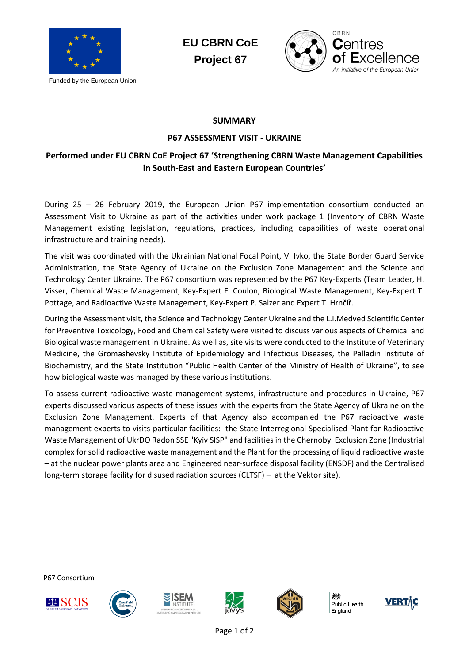

Funded by the European Union

**EU CBRN CoE Project 67**



## **SUMMARY**

## **P67 ASSESSMENT VISIT - UKRAINE**

## **Performed under EU CBRN CoE Project 67 'Strengthening CBRN Waste Management Capabilities in South-East and Eastern European Countries'**

During 25 – 26 February 2019, the European Union P67 implementation consortium conducted an Assessment Visit to Ukraine as part of the activities under work package 1 (Inventory of CBRN Waste Management existing legislation, regulations, practices, including capabilities of waste operational infrastructure and training needs).

The visit was coordinated with the Ukrainian National Focal Point, V. Ivko, the State Border Guard Service Administration, the State Agency of Ukraine on the Exclusion Zone Management and the Science and Technology Center Ukraine. The P67 consortium was represented by the P67 Key-Experts (Team Leader, H. Visser, Chemical Waste Management, Key-Expert F. Coulon, Biological Waste Management, Key-Expert T. Pottage, and Radioactive Waste Management, Key-Expert P. Salzer and Expert T. Hrnčíř.

During the Assessment visit, the Science and Technology Center Ukraine and the L.I.Medved Scientific Center for Preventive Toxicology, Food and Chemical Safety were visited to discuss various aspects of Chemical and Biological waste management in Ukraine. As well as, site visits were conducted to the Institute of Veterinary Medicine, the Gromashevsky Institute of Epidemiology and Infectious Diseases, the Palladin Institute of Biochemistry, and the State Institution "Public Health Center of the Ministry of Health of Ukraine", to see how biological waste was managed by these various institutions.

To assess current radioactive waste management systems, infrastructure and procedures in Ukraine, P67 experts discussed various aspects of these issues with the experts from the State Agency of Ukraine on the Exclusion Zone Management. Experts of that Agency also accompanied the P67 radioactive waste management experts to visits particular facilities: the State Interregional Specialised Plant for Radioactive Waste Management of UkrDO Radon SSE "Kyiv SISP" and facilities in the Chernobyl Exclusion Zone (Industrial complex for solid radioactive waste management and the Plant for the processing of liquid radioactive waste – at the nuclear power plants area and Engineered near-surface disposal facility (ENSDF) and the Centralised long-term storage facility for disused radiation sources (CLTSF) – at the Vektor site).

P67 Consortium











Public Health England